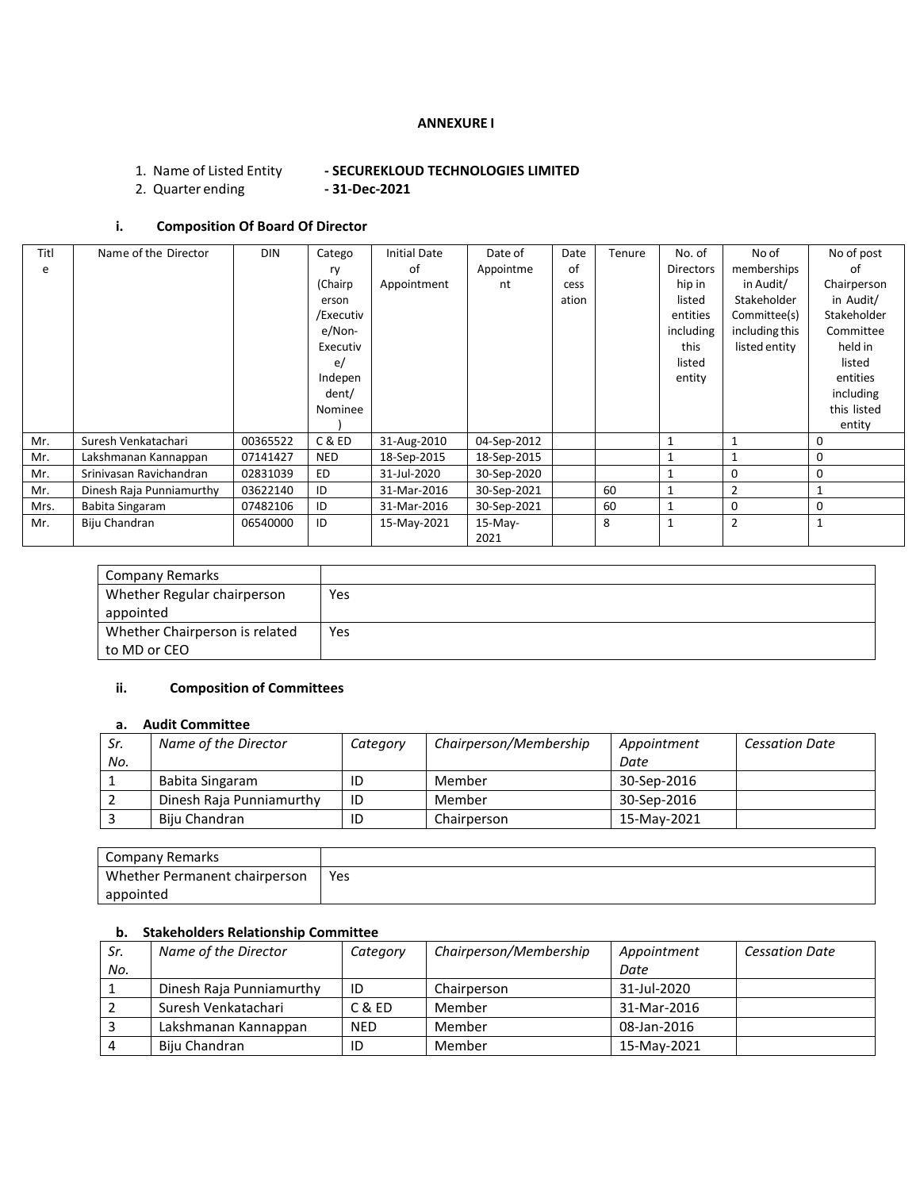#### **ANNEXURE I**

# 1. Name of Listed Entity **- SECUREKLOUD TECHNOLOGIES LIMITED**

2. Quarter ending **- 31-Dec-2021**

## **i. Composition Of Board Of Director**

| Titl | Name of the Director     | <b>DIN</b> | Catego     | <b>Initial Date</b> | Date of     | Date  | Tenure | No. of           | No of          | No of post   |
|------|--------------------------|------------|------------|---------------------|-------------|-------|--------|------------------|----------------|--------------|
| e    |                          |            | ry         | of                  | Appointme   | of    |        | <b>Directors</b> | memberships    | nt           |
|      |                          |            | (Chairp)   | Appointment         | nt          | cess  |        | hip in           | in Audit/      | Chairperson  |
|      |                          |            | erson      |                     |             | ation |        | listed           | Stakeholder    | in Audit/    |
|      |                          |            | /Executiv  |                     |             |       |        | entities         | Committee(s)   | Stakeholder  |
|      |                          |            | e/Non-     |                     |             |       |        | including        | including this | Committee    |
|      |                          |            | Executiv   |                     |             |       |        | this             | listed entity  | held in      |
|      |                          |            | e/         |                     |             |       |        | listed           |                | listed       |
|      |                          |            | Indepen    |                     |             |       |        | entity           |                | entities     |
|      |                          |            | dent/      |                     |             |       |        |                  |                | including    |
|      |                          |            | Nominee    |                     |             |       |        |                  |                | this listed  |
|      |                          |            |            |                     |             |       |        |                  |                | entity       |
| Mr.  | Suresh Venkatachari      | 00365522   | C & ED     | 31-Aug-2010         | 04-Sep-2012 |       |        |                  | $\mathbf{1}$   | $\Omega$     |
| Mr.  | Lakshmanan Kannappan     | 07141427   | <b>NED</b> | 18-Sep-2015         | 18-Sep-2015 |       |        |                  | $\mathbf{1}$   | 0            |
| Mr.  | Sriniyasan Ravichandran  | 02831039   | ED.        | 31-Jul-2020         | 30-Sep-2020 |       |        |                  | $\Omega$       | 0            |
| Mr.  | Dinesh Raja Punniamurthy | 03622140   | ID         | 31-Mar-2016         | 30-Sep-2021 |       | 60     |                  | $\overline{2}$ |              |
| Mrs. | Babita Singaram          | 07482106   | ID         | 31-Mar-2016         | 30-Sep-2021 |       | 60     |                  | 0              | 0            |
| Mr.  | Biju Chandran            | 06540000   | ID         | 15-May-2021         | $15-Mav-$   |       | 8      |                  | $\overline{2}$ | $\mathbf{1}$ |
|      |                          |            |            |                     | 2021        |       |        |                  |                |              |

| <b>Company Remarks</b>         |     |
|--------------------------------|-----|
| Whether Regular chairperson    | Yes |
| appointed                      |     |
| Whether Chairperson is related | Yes |
| to MD or CEO                   |     |

## **ii. Composition of Committees**

#### **a. Audit Committee**

| Sr. | Name of the Director     | Category | Chairperson/Membership | Appointment | <b>Cessation Date</b> |
|-----|--------------------------|----------|------------------------|-------------|-----------------------|
| No. |                          |          |                        | Date        |                       |
|     | Babita Singaram          | ID       | Member                 | 30-Sep-2016 |                       |
|     | Dinesh Raja Punniamurthy | ID       | Member                 | 30-Sep-2016 |                       |
|     | Biiu Chandran            | ID       | Chairperson            | 15-Mav-2021 |                       |

| Company Remarks               |     |
|-------------------------------|-----|
| Whether Permanent chairperson | Yes |
| appointed                     |     |

## **b. Stakeholders Relationship Committee**

| Sr. | Name of the Director     | Category   | Chairperson/Membership | Appointment | <b>Cessation Date</b> |
|-----|--------------------------|------------|------------------------|-------------|-----------------------|
| No. |                          |            |                        | Date        |                       |
|     | Dinesh Raja Punniamurthy | ID         | Chairperson            | 31-Jul-2020 |                       |
|     | Suresh Venkatachari      | C & ED     | Member                 | 31-Mar-2016 |                       |
|     | Lakshmanan Kannappan     | <b>NED</b> | Member                 | 08-Jan-2016 |                       |
|     | Biiu Chandran            | ID         | Member                 | 15-May-2021 |                       |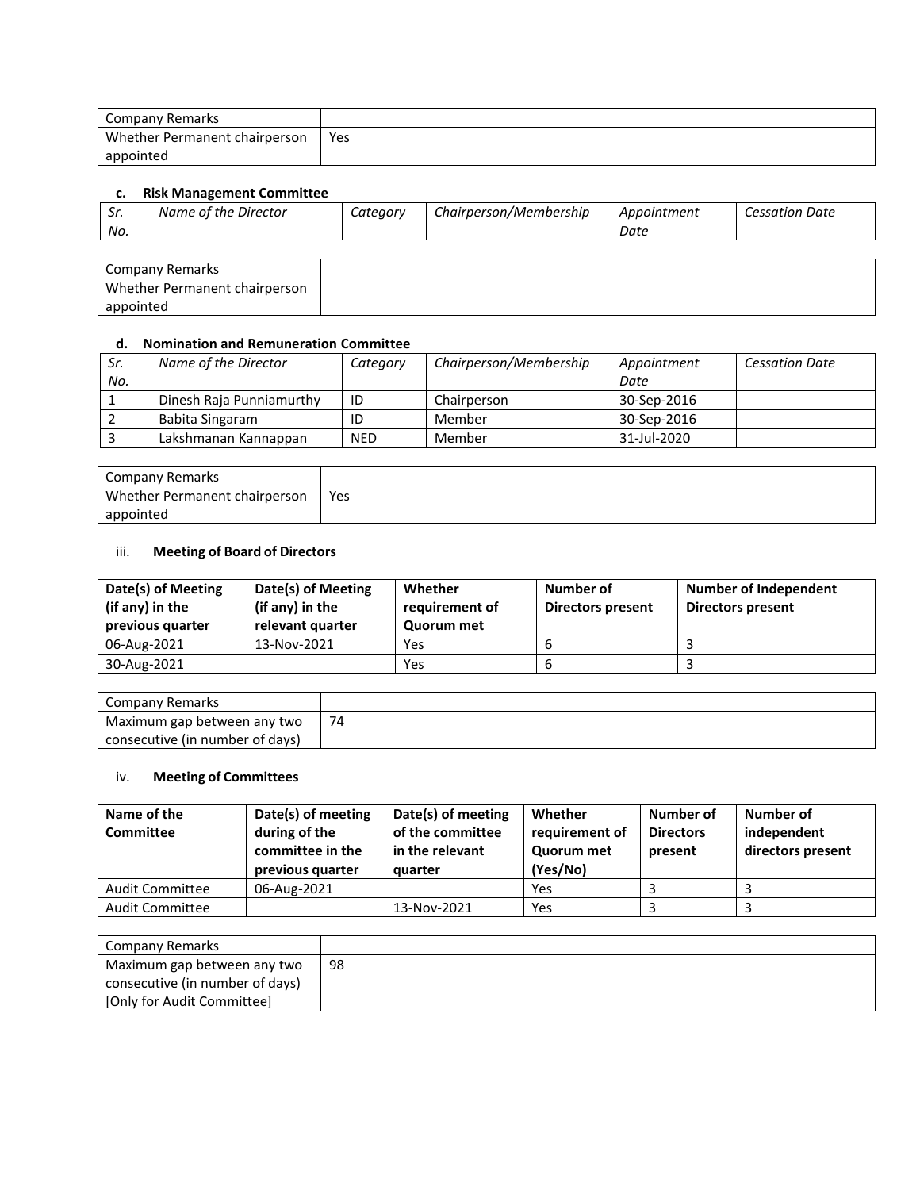| Company Remarks               |     |
|-------------------------------|-----|
| Whether Permanent chairperson | Yes |
| appointed                     |     |

## **c. Risk Management Committee**

| -Sr. | Name of the Director | Category | Chairperson/Membership | Appointment | <b>Cessation Date</b> |
|------|----------------------|----------|------------------------|-------------|-----------------------|
| No.  |                      |          |                        | Date        |                       |

| Company Remarks               |  |
|-------------------------------|--|
| Whether Permanent chairperson |  |
| appointed                     |  |

## **d. Nomination and Remuneration Committee**

| Sr. | Name of the Director     | Category   | Chairperson/Membership | Appointment | <b>Cessation Date</b> |
|-----|--------------------------|------------|------------------------|-------------|-----------------------|
| No. |                          |            |                        | Date        |                       |
|     | Dinesh Raja Punniamurthy | ID         | Chairperson            | 30-Sep-2016 |                       |
|     | Babita Singaram          | ID         | Member                 | 30-Sep-2016 |                       |
|     | Lakshmanan Kannappan     | <b>NED</b> | Member                 | 31-Jul-2020 |                       |

| Company Remarks               |     |
|-------------------------------|-----|
| Whether Permanent chairperson | Yes |
| appointed                     |     |

## iii. **Meeting of Board of Directors**

| Date(s) of Meeting<br>(if any) in the<br>previous quarter | Date(s) of Meeting<br>(if any) in the<br>relevant quarter | Whether<br>requirement of<br><b>Quorum met</b> | Number of<br><b>Directors present</b> | Number of Independent<br><b>Directors present</b> |
|-----------------------------------------------------------|-----------------------------------------------------------|------------------------------------------------|---------------------------------------|---------------------------------------------------|
| 06-Aug-2021                                               | 13-Nov-2021                                               | Yes                                            |                                       |                                                   |
| 30-Aug-2021                                               |                                                           | Yes                                            |                                       |                                                   |

| Company Remarks                 |    |
|---------------------------------|----|
| Maximum gap between any two     | 74 |
| consecutive (in number of days) |    |

## iv. **Meeting of Committees**

| Name of the<br>Committee | Date(s) of meeting<br>during of the<br>committee in the<br>previous quarter | Date(s) of meeting<br>of the committee<br>in the relevant<br>quarter | Whether<br>requirement of<br><b>Quorum met</b><br>(Yes/No) | Number of<br><b>Directors</b><br>present | Number of<br>independent<br>directors present |
|--------------------------|-----------------------------------------------------------------------------|----------------------------------------------------------------------|------------------------------------------------------------|------------------------------------------|-----------------------------------------------|
| <b>Audit Committee</b>   | 06-Aug-2021                                                                 |                                                                      | Yes                                                        |                                          |                                               |
| <b>Audit Committee</b>   |                                                                             | 13-Nov-2021                                                          | Yes                                                        |                                          |                                               |

| Company Remarks                 |    |
|---------------------------------|----|
| Maximum gap between any two     | 98 |
| consecutive (in number of days) |    |
| [Only for Audit Committee]      |    |